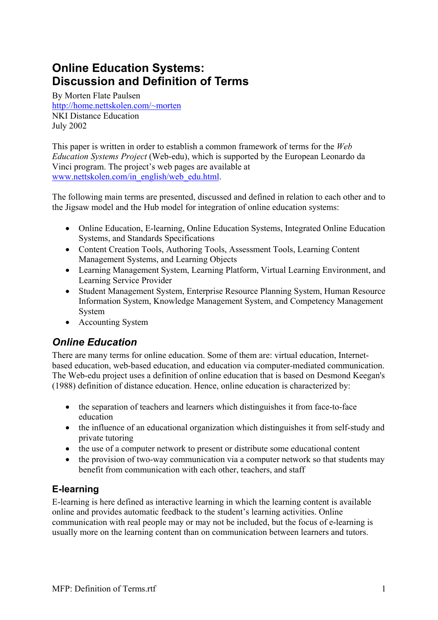# **Online Education Systems: Discussion and Definition of Terms**

By Morten Flate Paulsen http://home.nettskolen.com/~morten NKI Distance Education July 2002

This paper is written in order to establish a common framework of terms for the *Web Education Systems Project* (Web-edu), which is supported by the European Leonardo da Vinci program. The project's web pages are available at www.nettskolen.com/in\_english/web\_edu.html.

The following main terms are presented, discussed and defined in relation to each other and to the Jigsaw model and the Hub model for integration of online education systems:

- Online Education, E-learning, Online Education Systems, Integrated Online Education Systems, and Standards Specifications
- Content Creation Tools, Authoring Tools, Assessment Tools, Learning Content Management Systems, and Learning Objects
- Learning Management System, Learning Platform, Virtual Learning Environment, and Learning Service Provider
- Student Management System, Enterprise Resource Planning System, Human Resource Information System, Knowledge Management System, and Competency Management System
- Accounting System

## *Online Education*

There are many terms for online education. Some of them are: virtual education, Internetbased education, web-based education, and education via computer-mediated communication. The Web-edu project uses a definition of online education that is based on Desmond Keegan's (1988) definition of distance education. Hence, online education is characterized by:

- the separation of teachers and learners which distinguishes it from face-to-face education
- the influence of an educational organization which distinguishes it from self-study and private tutoring
- the use of a computer network to present or distribute some educational content
- the provision of two-way communication via a computer network so that students may benefit from communication with each other, teachers, and staff

### **E-learning**

E-learning is here defined as interactive learning in which the learning content is available online and provides automatic feedback to the student's learning activities. Online communication with real people may or may not be included, but the focus of e-learning is usually more on the learning content than on communication between learners and tutors.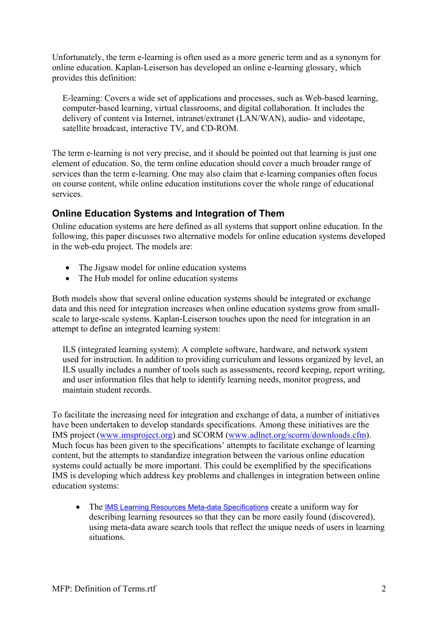Unfortunately, the term e-learning is often used as a more generic term and as a synonym for online education. Kaplan-Leiserson has developed an online e-learning glossary, which provides this definition:

E-learning: Covers a wide set of applications and processes, such as Web-based learning, computer-based learning, virtual classrooms, and digital collaboration. It includes the delivery of content via Internet, intranet/extranet (LAN/WAN), audio- and videotape, satellite broadcast, interactive TV, and CD-ROM.

The term e-learning is not very precise, and it should be pointed out that learning is just one element of education. So, the term online education should cover a much broader range of services than the term e-learning. One may also claim that e-learning companies often focus on course content, while online education institutions cover the whole range of educational services.

#### **Online Education Systems and Integration of Them**

Online education systems are here defined as all systems that support online education. In the following, this paper discusses two alternative models for online education systems developed in the web-edu project. The models are:

- The Jigsaw model for online education systems
- The Hub model for online education systems

Both models show that several online education systems should be integrated or exchange data and this need for integration increases when online education systems grow from smallscale to large-scale systems. Kaplan-Leiserson touches upon the need for integration in an attempt to define an integrated learning system:

ILS (integrated learning system): A complete software, hardware, and network system used for instruction. In addition to providing curriculum and lessons organized by level, an ILS usually includes a number of tools such as assessments, record keeping, report writing, and user information files that help to identify learning needs, monitor progress, and maintain student records.

To facilitate the increasing need for integration and exchange of data, a number of initiatives have been undertaken to develop standards specifications. Among these initiatives are the IMS project (www.imsproject.org) and SCORM (www.adlnet.org/scorm/downloads.cfm). Much focus has been given to the specifications' attempts to facilitate exchange of learning content, but the attempts to standardize integration between the various online education systems could actually be more important. This could be exemplified by the specifications IMS is developing which address key problems and challenges in integration between online education systems:

• The IMS Learning Resources Meta-data Specifications create a uniform way for describing learning resources so that they can be more easily found (discovered), using meta-data aware search tools that reflect the unique needs of users in learning situations.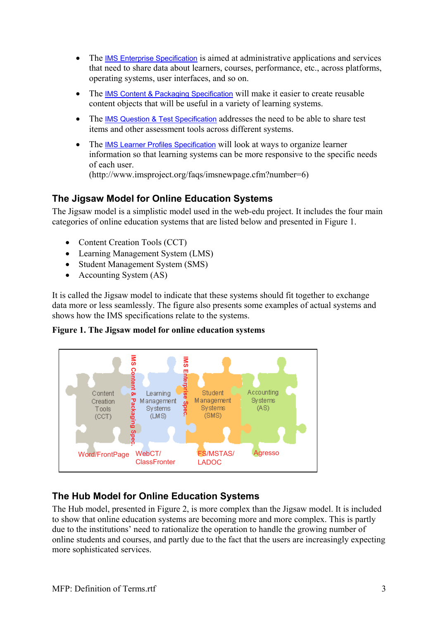- The IMS Enterprise Specification is aimed at administrative applications and services that need to share data about learners, courses, performance, etc., across platforms, operating systems, user interfaces, and so on.
- The IMS Content & Packaging Specification will make it easier to create reusable content objects that will be useful in a variety of learning systems.
- The IMS Question & Test Specification addresses the need to be able to share test items and other assessment tools across different systems.
- The IMS Learner Profiles Specification will look at ways to organize learner information so that learning systems can be more responsive to the specific needs of each user.

(http://www.imsproject.org/faqs/imsnewpage.cfm?number=6)

#### **The Jigsaw Model for Online Education Systems**

The Jigsaw model is a simplistic model used in the web-edu project. It includes the four main categories of online education systems that are listed below and presented in Figure 1.

- Content Creation Tools (CCT)
- Learning Management System (LMS)
- Student Management System (SMS)
- Accounting System (AS)

It is called the Jigsaw model to indicate that these systems should fit together to exchange data more or less seamlessly. The figure also presents some examples of actual systems and shows how the IMS specifications relate to the systems.

#### **Figure 1. The Jigsaw model for online education systems**



#### **The Hub Model for Online Education Systems**

The Hub model, presented in Figure 2, is more complex than the Jigsaw model. It is included to show that online education systems are becoming more and more complex. This is partly due to the institutions' need to rationalize the operation to handle the growing number of online students and courses, and partly due to the fact that the users are increasingly expecting more sophisticated services.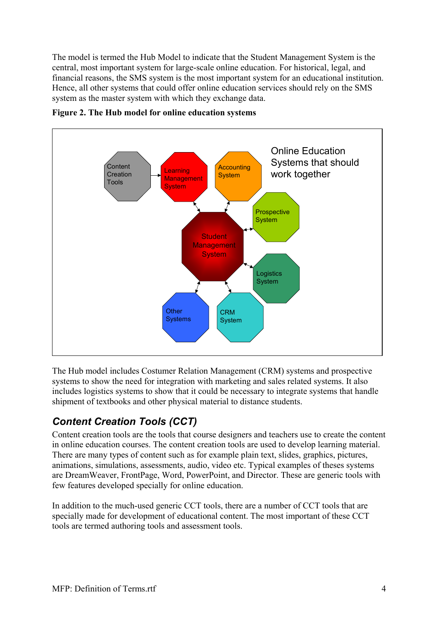The model is termed the Hub Model to indicate that the Student Management System is the central, most important system for large-scale online education. For historical, legal, and financial reasons, the SMS system is the most important system for an educational institution. Hence, all other systems that could offer online education services should rely on the SMS system as the master system with which they exchange data.



**Figure 2. The Hub model for online education systems**

The Hub model includes Costumer Relation Management (CRM) systems and prospective systems to show the need for integration with marketing and sales related systems. It also includes logistics systems to show that it could be necessary to integrate systems that handle shipment of textbooks and other physical material to distance students.

## *Content Creation Tools (CCT)*

Content creation tools are the tools that course designers and teachers use to create the content in online education courses. The content creation tools are used to develop learning material. There are many types of content such as for example plain text, slides, graphics, pictures, animations, simulations, assessments, audio, video etc. Typical examples of theses systems are DreamWeaver, FrontPage, Word, PowerPoint, and Director. These are generic tools with few features developed specially for online education.

In addition to the much-used generic CCT tools, there are a number of CCT tools that are specially made for development of educational content. The most important of these CCT tools are termed authoring tools and assessment tools.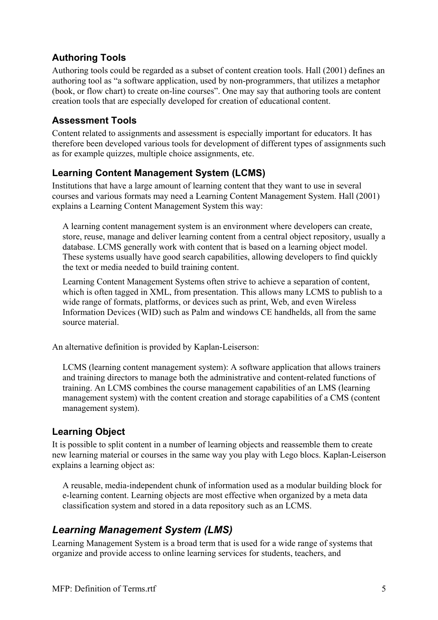## **Authoring Tools**

Authoring tools could be regarded as a subset of content creation tools. Hall (2001) defines an authoring tool as "a software application, used by non-programmers, that utilizes a metaphor (book, or flow chart) to create on-line courses". One may say that authoring tools are content creation tools that are especially developed for creation of educational content.

#### **Assessment Tools**

Content related to assignments and assessment is especially important for educators. It has therefore been developed various tools for development of different types of assignments such as for example quizzes, multiple choice assignments, etc.

#### **Learning Content Management System (LCMS)**

Institutions that have a large amount of learning content that they want to use in several courses and various formats may need a Learning Content Management System. Hall (2001) explains a Learning Content Management System this way:

A learning content management system is an environment where developers can create, store, reuse, manage and deliver learning content from a central object repository, usually a database. LCMS generally work with content that is based on a learning object model. These systems usually have good search capabilities, allowing developers to find quickly the text or media needed to build training content.

Learning Content Management Systems often strive to achieve a separation of content, which is often tagged in XML, from presentation. This allows many LCMS to publish to a wide range of formats, platforms, or devices such as print, Web, and even Wireless Information Devices (WID) such as Palm and windows CE handhelds, all from the same source material

An alternative definition is provided by Kaplan-Leiserson:

LCMS (learning content management system): A software application that allows trainers and training directors to manage both the administrative and content-related functions of training. An LCMS combines the course management capabilities of an LMS (learning management system) with the content creation and storage capabilities of a CMS (content management system).

### **Learning Object**

It is possible to split content in a number of learning objects and reassemble them to create new learning material or courses in the same way you play with Lego blocs. Kaplan-Leiserson explains a learning object as:

A reusable, media-independent chunk of information used as a modular building block for e-learning content. Learning objects are most effective when organized by a meta data classification system and stored in a data repository such as an LCMS.

## *Learning Management System (LMS)*

Learning Management System is a broad term that is used for a wide range of systems that organize and provide access to online learning services for students, teachers, and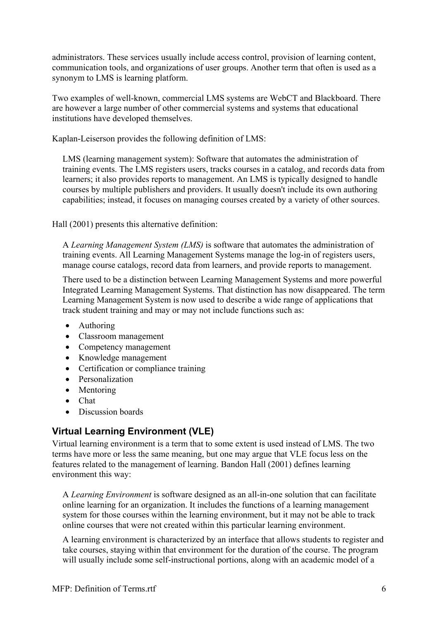administrators. These services usually include access control, provision of learning content, communication tools, and organizations of user groups. Another term that often is used as a synonym to LMS is learning platform.

Two examples of well-known, commercial LMS systems are WebCT and Blackboard. There are however a large number of other commercial systems and systems that educational institutions have developed themselves.

Kaplan-Leiserson provides the following definition of LMS:

LMS (learning management system): Software that automates the administration of training events. The LMS registers users, tracks courses in a catalog, and records data from learners; it also provides reports to management. An LMS is typically designed to handle courses by multiple publishers and providers. It usually doesn't include its own authoring capabilities; instead, it focuses on managing courses created by a variety of other sources.

Hall (2001) presents this alternative definition:

A *Learning Management System (LMS)* is software that automates the administration of training events. All Learning Management Systems manage the log-in of registers users, manage course catalogs, record data from learners, and provide reports to management.

There used to be a distinction between Learning Management Systems and more powerful Integrated Learning Management Systems. That distinction has now disappeared. The term Learning Management System is now used to describe a wide range of applications that track student training and may or may not include functions such as:

- Authoring
- Classroom management
- Competency management
- Knowledge management
- Certification or compliance training
- Personalization
- Mentoring
- Chat
- Discussion boards

### **Virtual Learning Environment (VLE)**

Virtual learning environment is a term that to some extent is used instead of LMS. The two terms have more or less the same meaning, but one may argue that VLE focus less on the features related to the management of learning. Bandon Hall (2001) defines learning environment this way:

A *Learning Environment* is software designed as an all-in-one solution that can facilitate online learning for an organization. It includes the functions of a learning management system for those courses within the learning environment, but it may not be able to track online courses that were not created within this particular learning environment.

A learning environment is characterized by an interface that allows students to register and take courses, staying within that environment for the duration of the course. The program will usually include some self-instructional portions, along with an academic model of a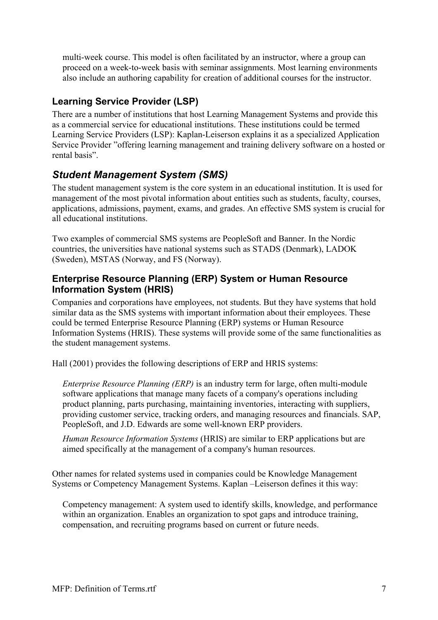multi-week course. This model is often facilitated by an instructor, where a group can proceed on a week-to-week basis with seminar assignments. Most learning environments also include an authoring capability for creation of additional courses for the instructor.

### **Learning Service Provider (LSP)**

There are a number of institutions that host Learning Management Systems and provide this as a commercial service for educational institutions. These institutions could be termed Learning Service Providers (LSP): Kaplan-Leiserson explains it as a specialized Application Service Provider "offering learning management and training delivery software on a hosted or rental basis".

## *Student Management System (SMS)*

The student management system is the core system in an educational institution. It is used for management of the most pivotal information about entities such as students, faculty, courses, applications, admissions, payment, exams, and grades. An effective SMS system is crucial for all educational institutions.

Two examples of commercial SMS systems are PeopleSoft and Banner. In the Nordic countries, the universities have national systems such as STADS (Denmark), LADOK (Sweden), MSTAS (Norway, and FS (Norway).

#### **Enterprise Resource Planning (ERP) System or Human Resource Information System (HRIS)**

Companies and corporations have employees, not students. But they have systems that hold similar data as the SMS systems with important information about their employees. These could be termed Enterprise Resource Planning (ERP) systems or Human Resource Information Systems (HRIS). These systems will provide some of the same functionalities as the student management systems.

Hall (2001) provides the following descriptions of ERP and HRIS systems:

*Enterprise Resource Planning (ERP)* is an industry term for large, often multi-module software applications that manage many facets of a company's operations including product planning, parts purchasing, maintaining inventories, interacting with suppliers, providing customer service, tracking orders, and managing resources and financials. SAP, PeopleSoft, and J.D. Edwards are some well-known ERP providers.

*Human Resource Information Systems* (HRIS) are similar to ERP applications but are aimed specifically at the management of a company's human resources.

Other names for related systems used in companies could be Knowledge Management Systems or Competency Management Systems. Kaplan –Leiserson defines it this way:

Competency management: A system used to identify skills, knowledge, and performance within an organization. Enables an organization to spot gaps and introduce training, compensation, and recruiting programs based on current or future needs.